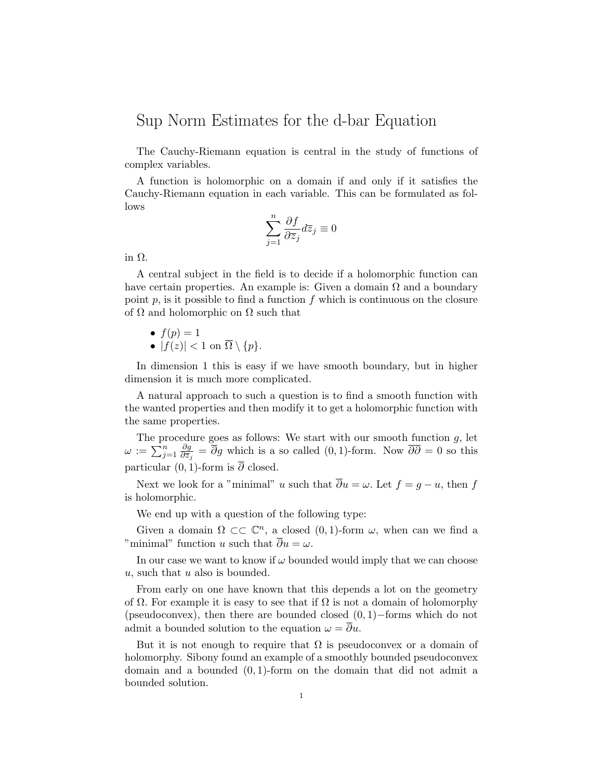## Sup Norm Estimates for the d-bar Equation

The Cauchy-Riemann equation is central in the study of functions of complex variables.

A function is holomorphic on a domain if and only if it satisfies the Cauchy-Riemann equation in each variable. This can be formulated as follows

$$
\sum_{j=1}^{n} \frac{\partial f}{\partial \overline{z}_j} d\overline{z}_j \equiv 0
$$

in Ω*.*

A central subject in the field is to decide if a holomorphic function can have certain properties. An example is: Given a domain  $\Omega$  and a boundary point  $p$ , is it possible to find a function  $f$  which is continuous on the closure of  $\Omega$  and holomorphic on  $\Omega$  such that

$$
\bullet \ f(p)=1
$$

• 
$$
|f(z)| < 1 \text{ on } \Omega \setminus \{p\}.
$$

In dimension 1 this is easy if we have smooth boundary, but in higher dimension it is much more complicated.

A natural approach to such a question is to find a smooth function with the wanted properties and then modify it to get a holomorphic function with the same properties.

The procedure goes as follows: We start with our smooth function *g*, let  $\omega := \bar{\sum_{j=1}^n}$ *∂g*  $\frac{\partial g}{\partial \bar{z}_j} = \partial g$  which is a so called (0*,* 1)-form. Now  $\partial \partial = 0$  so this particular  $(0, 1)$ -form is  $\overline{\partial}$  closed.

Next we look for a "minimal" *u* such that  $\overline{\partial}u = \omega$ . Let  $f = g - u$ , then f is holomorphic.

We end up with a question of the following type:

Given a domain  $\Omega \subset\subset \mathbb{C}^n$ , a closed  $(0,1)$ -form  $\omega$ , when can we find a "minimal" function *u* such that  $\overline{\partial}u = \omega$ .

In our case we want to know if  $\omega$  bounded would imply that we can choose *u*, such that *u* also is bounded.

From early on one have known that this depends a lot on the geometry of  $\Omega$ . For example it is easy to see that if  $\Omega$  is not a domain of holomorphy (pseudoconvex), then there are bounded closed (0*,* 1)*−*forms which do not admit a bounded solution to the equation  $\omega = \overline{\partial}u$ .

But it is not enough to require that  $\Omega$  is pseudoconvex or a domain of holomorphy. Sibony found an example of a smoothly bounded pseudoconvex domain and a bounded (0*,* 1)-form on the domain that did not admit a bounded solution.